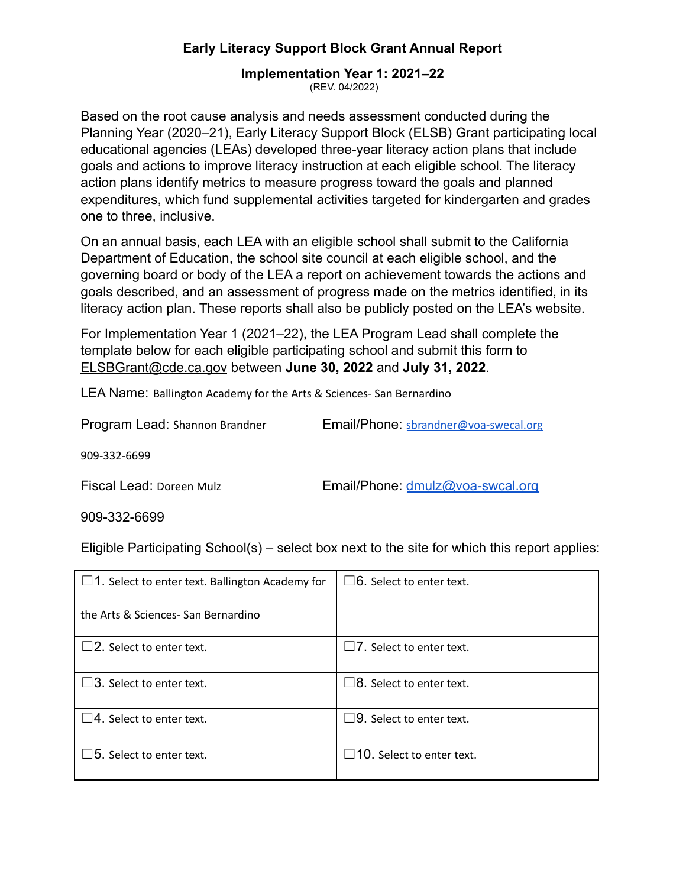# **Implementation Year 1: 2021‒22**

(REV. 04/2022)

Based on the root cause analysis and needs assessment conducted during the Planning Year (2020–21), Early Literacy Support Block (ELSB) Grant participating local educational agencies (LEAs) developed three-year literacy action plans that include goals and actions to improve literacy instruction at each eligible school. The literacy action plans identify metrics to measure progress toward the goals and planned expenditures, which fund supplemental activities targeted for kindergarten and grades one to three, inclusive.

On an annual basis, each LEA with an eligible school shall submit to the California Department of Education, the school site council at each eligible school, and the governing board or body of the LEA a report on achievement towards the actions and goals described, and an assessment of progress made on the metrics identified, in its literacy action plan. These reports shall also be publicly posted on the LEA's website.

For Implementation Year 1 (2021–22), the LEA Program Lead shall complete the template below for each eligible participating school and submit this form to [ELSBGrant@cde.ca.gov](mailto:ELSBGrant@cde.ca.gov) between **June 30, 2022** and **July 31, 2022**.

LEA Name: Ballington Academy for the Arts & Sciences- San Bernardino

| Program Lead: Shannon Brandner | Email/Phone: sbrandner@voa-swecal.org |  |
|--------------------------------|---------------------------------------|--|
|--------------------------------|---------------------------------------|--|

909-332-6699

Fiscal Lead: Doreen Mulz **Email/Phone:** [dmulz@voa-swcal.org](mailto:dmulz@voa-swcal.org)

909-332-6699

Eligible Participating School(s) – select box next to the site for which this report applies:

| $\Box$ 1. Select to enter text. Ballington Academy for | $\square$ 6. Select to enter text. |
|--------------------------------------------------------|------------------------------------|
| the Arts & Sciences-San Bernardino                     |                                    |
| $\square$ 2. Select to enter text.                     | $\Box$ 7. Select to enter text.    |
| $\square$ 3. Select to enter text.                     | $\Box$ 8. Select to enter text.    |
| $\square$ 4. Select to enter text.                     | $\Box$ 9. Select to enter text.    |
| $\square$ 5. Select to enter text.                     | $\Box$ 10. Select to enter text.   |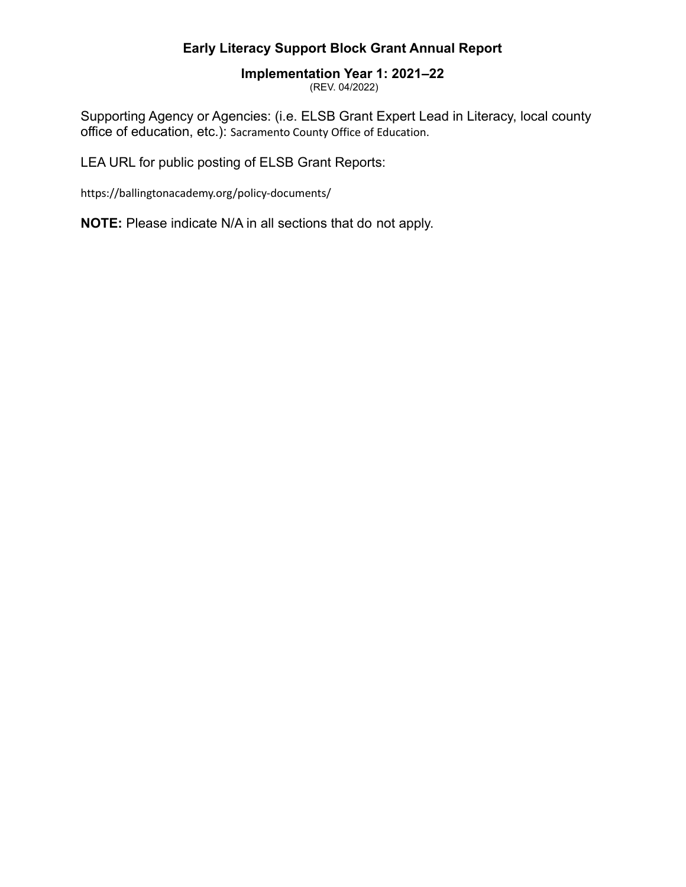# **Implementation Year 1: 2021‒22**

(REV. 04/2022)

Supporting Agency or Agencies: (i.e. ELSB Grant Expert Lead in Literacy, local county office of education, etc.): Sacramento County Office of Education.

LEA URL for public posting of ELSB Grant Reports:

https://ballingtonacademy.org/policy-documents/

**NOTE:** Please indicate N/A in all sections that do not apply.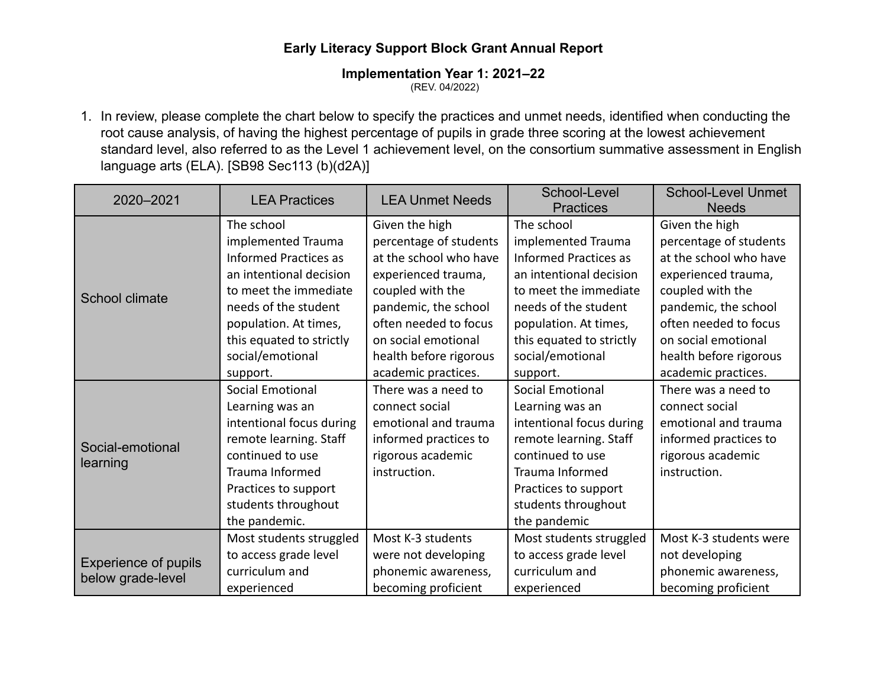# **Implementation Year 1: 2021‒22**

(REV. 04/2022)

1. In review, please complete the chart below to specify the practices and unmet needs, identified when conducting the root cause analysis, of having the highest percentage of pupils in grade three scoring at the lowest achievement standard level, also referred to as the Level 1 achievement level, on the consortium summative assessment in English language arts (ELA). [SB98 Sec113 (b)(d2A)]

| 2020-2021                   | <b>LEA Practices</b>         | <b>LEA Unmet Needs</b> | School-Level<br><b>Practices</b> | <b>School-Level Unmet</b><br><b>Needs</b> |
|-----------------------------|------------------------------|------------------------|----------------------------------|-------------------------------------------|
|                             | The school                   | Given the high         | The school                       | Given the high                            |
|                             | implemented Trauma           | percentage of students | implemented Trauma               | percentage of students                    |
|                             | <b>Informed Practices as</b> | at the school who have | <b>Informed Practices as</b>     | at the school who have                    |
|                             | an intentional decision      | experienced trauma,    | an intentional decision          | experienced trauma,                       |
| School climate              | to meet the immediate        | coupled with the       | to meet the immediate            | coupled with the                          |
|                             | needs of the student         | pandemic, the school   | needs of the student             | pandemic, the school                      |
|                             | population. At times,        | often needed to focus  | population. At times,            | often needed to focus                     |
|                             | this equated to strictly     | on social emotional    | this equated to strictly         | on social emotional                       |
|                             | social/emotional             | health before rigorous | social/emotional                 | health before rigorous                    |
|                             | support.                     | academic practices.    | support.                         | academic practices.                       |
|                             | <b>Social Emotional</b>      | There was a need to    | <b>Social Emotional</b>          | There was a need to                       |
|                             | Learning was an              | connect social         | Learning was an                  | connect social                            |
|                             | intentional focus during     | emotional and trauma   | intentional focus during         | emotional and trauma                      |
| Social-emotional            | remote learning. Staff       | informed practices to  | remote learning. Staff           | informed practices to                     |
| learning                    | continued to use             | rigorous academic      | continued to use                 | rigorous academic                         |
|                             | Trauma Informed              | instruction.           | Trauma Informed                  | instruction.                              |
|                             | Practices to support         |                        | Practices to support             |                                           |
|                             | students throughout          |                        | students throughout              |                                           |
|                             | the pandemic.                |                        | the pandemic                     |                                           |
|                             | Most students struggled      | Most K-3 students      | Most students struggled          | Most K-3 students were                    |
| <b>Experience of pupils</b> | to access grade level        | were not developing    | to access grade level            | not developing                            |
|                             | curriculum and               | phonemic awareness,    | curriculum and                   | phonemic awareness,                       |
| below grade-level           | experienced                  | becoming proficient    | experienced                      | becoming proficient                       |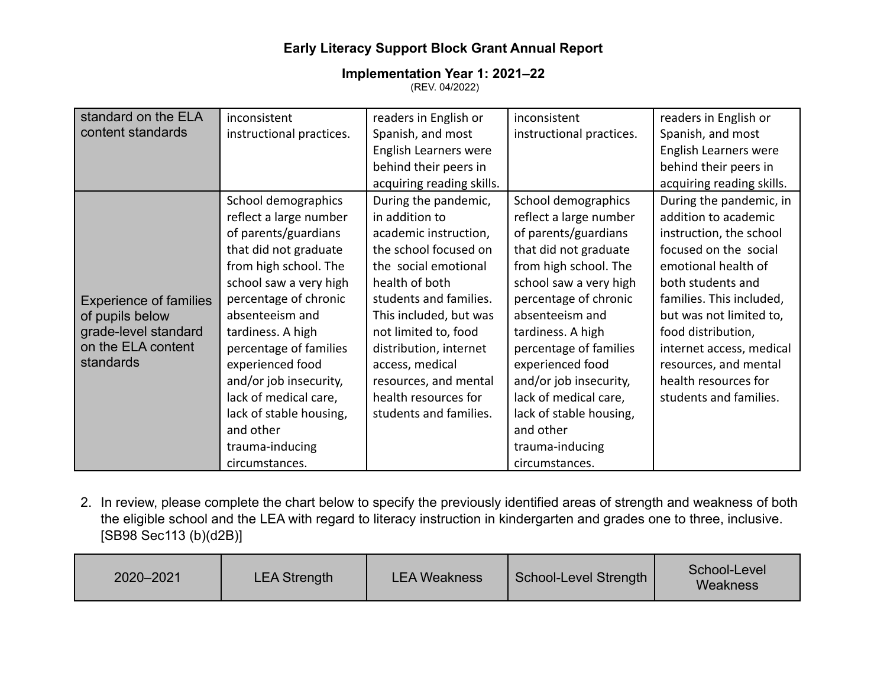#### **Implementation Year 1: 2021‒22** (REV. 04/2022)

| standard on the ELA           | inconsistent             | readers in English or     | inconsistent             | readers in English or     |
|-------------------------------|--------------------------|---------------------------|--------------------------|---------------------------|
| content standards             | instructional practices. | Spanish, and most         | instructional practices. | Spanish, and most         |
|                               |                          | English Learners were     |                          | English Learners were     |
|                               |                          | behind their peers in     |                          | behind their peers in     |
|                               |                          | acquiring reading skills. |                          | acquiring reading skills. |
|                               | School demographics      | During the pandemic,      | School demographics      | During the pandemic, in   |
|                               | reflect a large number   | in addition to            | reflect a large number   | addition to academic      |
|                               | of parents/guardians     | academic instruction,     | of parents/guardians     | instruction, the school   |
|                               | that did not graduate    | the school focused on     | that did not graduate    | focused on the social     |
|                               | from high school. The    | the social emotional      | from high school. The    | emotional health of       |
|                               | school saw a very high   | health of both            | school saw a very high   | both students and         |
| <b>Experience of families</b> | percentage of chronic    | students and families.    | percentage of chronic    | families. This included,  |
| of pupils below               | absenteeism and          | This included, but was    | absenteeism and          | but was not limited to,   |
| grade-level standard          | tardiness. A high        | not limited to, food      | tardiness. A high        | food distribution,        |
| on the ELA content            | percentage of families   | distribution, internet    | percentage of families   | internet access, medical  |
| standards                     | experienced food         | access, medical           | experienced food         | resources, and mental     |
|                               | and/or job insecurity,   | resources, and mental     | and/or job insecurity,   | health resources for      |
|                               | lack of medical care,    | health resources for      | lack of medical care,    | students and families.    |
|                               | lack of stable housing,  | students and families.    | lack of stable housing,  |                           |
|                               | and other                |                           | and other                |                           |
|                               | trauma-inducing          |                           | trauma-inducing          |                           |
|                               | circumstances.           |                           | circumstances.           |                           |

2. In review, please complete the chart below to specify the previously identified areas of strength and weakness of both the eligible school and the LEA with regard to literacy instruction in kindergarten and grades one to three, inclusive. [SB98 Sec113 (b)(d2B)]

| School-Level<br>2020-2021<br>School-Level Strength<br><b>LEA Strength</b><br><b>LEA Weakness</b><br>Weakness |  |
|--------------------------------------------------------------------------------------------------------------|--|
|--------------------------------------------------------------------------------------------------------------|--|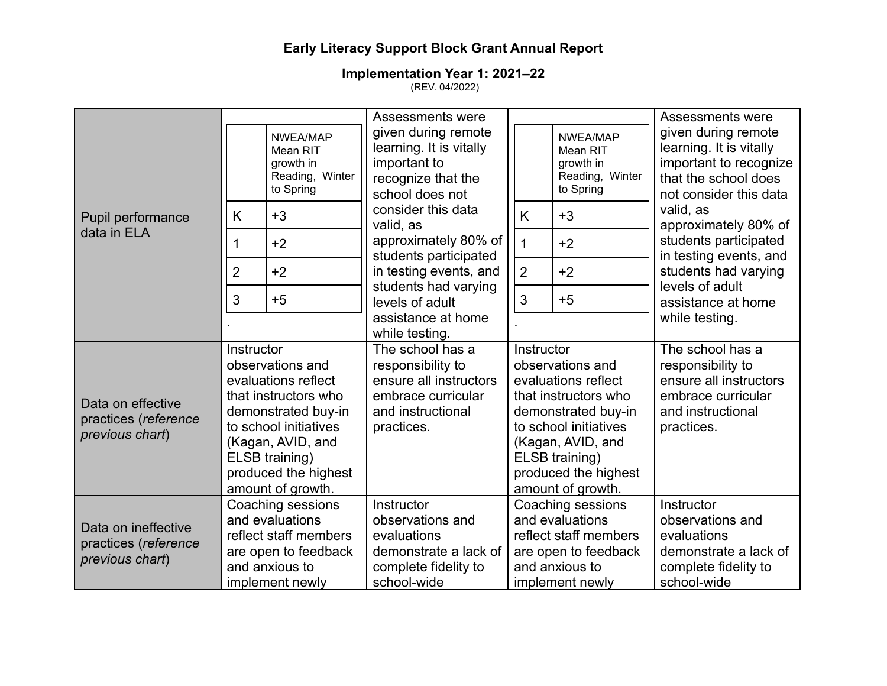|                                                                |                |                                                                                                                                                                                                     | Assessments were                                                                                                         |                |                                                                                                                                                                                                                   | <b>Assessments were</b>                                                                                                    |
|----------------------------------------------------------------|----------------|-----------------------------------------------------------------------------------------------------------------------------------------------------------------------------------------------------|--------------------------------------------------------------------------------------------------------------------------|----------------|-------------------------------------------------------------------------------------------------------------------------------------------------------------------------------------------------------------------|----------------------------------------------------------------------------------------------------------------------------|
|                                                                |                | NWEA/MAP<br>Mean RIT<br>growth in<br>Reading, Winter<br>to Spring                                                                                                                                   | given during remote<br>learning. It is vitally<br>important to<br>recognize that the<br>school does not                  |                | NWEA/MAP<br>Mean RIT<br>growth in<br>Reading, Winter<br>to Spring                                                                                                                                                 | given during remote<br>learning. It is vitally<br>important to recognize<br>that the school does<br>not consider this data |
| Pupil performance                                              | K              | $+3$                                                                                                                                                                                                | consider this data<br>valid, as                                                                                          | K              | $+3$                                                                                                                                                                                                              | valid, as<br>approximately 80% of                                                                                          |
| data in ELA                                                    | 1              | $+2$                                                                                                                                                                                                | approximately 80% of<br>students participated                                                                            | $\mathbf{1}$   | $+2$                                                                                                                                                                                                              | students participated<br>in testing events, and                                                                            |
|                                                                | $\overline{2}$ | $+2$                                                                                                                                                                                                | in testing events, and                                                                                                   | $\overline{2}$ | $+2$                                                                                                                                                                                                              | students had varying<br>levels of adult                                                                                    |
|                                                                | 3              | $+5$                                                                                                                                                                                                | students had varying<br>levels of adult                                                                                  | 3              | $+5$                                                                                                                                                                                                              | assistance at home                                                                                                         |
|                                                                |                |                                                                                                                                                                                                     | assistance at home<br>while testing.                                                                                     |                |                                                                                                                                                                                                                   | while testing.                                                                                                             |
| Data on effective<br>practices (reference<br>previous chart)   | Instructor     | observations and<br>evaluations reflect<br>that instructors who<br>demonstrated buy-in<br>to school initiatives<br>(Kagan, AVID, and<br>ELSB training)<br>produced the highest<br>amount of growth. | The school has a<br>responsibility to<br>ensure all instructors<br>embrace curricular<br>and instructional<br>practices. |                | Instructor<br>observations and<br>evaluations reflect<br>that instructors who<br>demonstrated buy-in<br>to school initiatives<br>(Kagan, AVID, and<br>ELSB training)<br>produced the highest<br>amount of growth. | The school has a<br>responsibility to<br>ensure all instructors<br>embrace curricular<br>and instructional<br>practices.   |
| Data on ineffective<br>practices (reference<br>previous chart) |                | Coaching sessions<br>and evaluations<br>reflect staff members<br>are open to feedback<br>and anxious to<br>implement newly                                                                          | Instructor<br>observations and<br>evaluations<br>demonstrate a lack of<br>complete fidelity to<br>school-wide            |                | Coaching sessions<br>and evaluations<br>reflect staff members<br>are open to feedback<br>and anxious to<br>implement newly                                                                                        | Instructor<br>observations and<br>evaluations<br>demonstrate a lack of<br>complete fidelity to<br>school-wide              |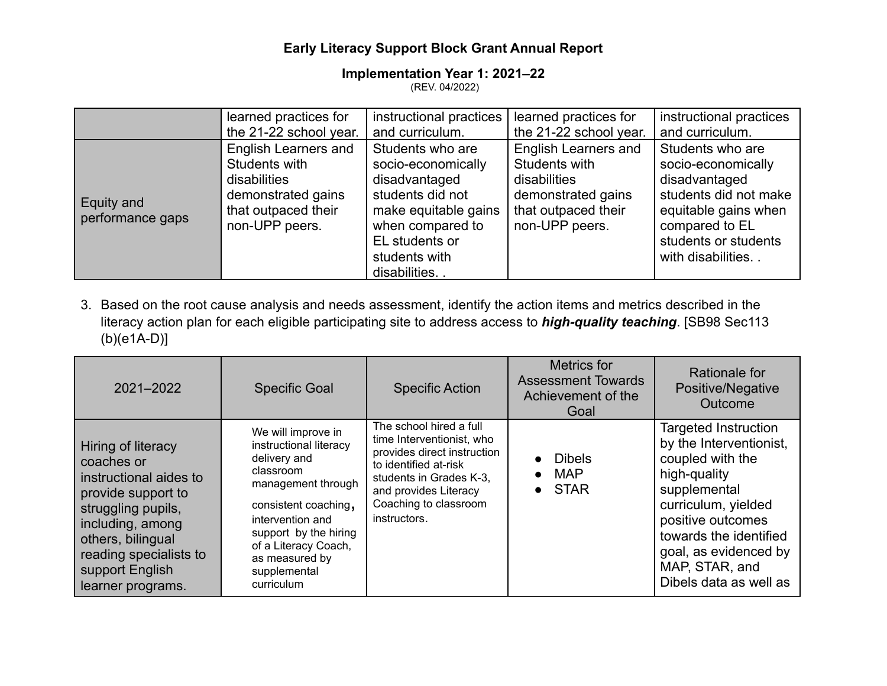#### **Implementation Year 1: 2021‒22** (REV. 04/2022)

|                                | learned practices for                                                                                                       | instructional practices                                                                                                                                                    | learned practices for                                                                                                       | instructional practices                                                                                                                                                 |
|--------------------------------|-----------------------------------------------------------------------------------------------------------------------------|----------------------------------------------------------------------------------------------------------------------------------------------------------------------------|-----------------------------------------------------------------------------------------------------------------------------|-------------------------------------------------------------------------------------------------------------------------------------------------------------------------|
|                                | the 21-22 school year.                                                                                                      | and curriculum.                                                                                                                                                            | the 21-22 school year.                                                                                                      | and curriculum.                                                                                                                                                         |
| Equity and<br>performance gaps | <b>English Learners and</b><br>Students with<br>disabilities<br>demonstrated gains<br>that outpaced their<br>non-UPP peers. | Students who are<br>socio-economically<br>disadvantaged<br>students did not<br>make equitable gains<br>when compared to<br>EL students or<br>students with<br>disabilities | <b>English Learners and</b><br>Students with<br>disabilities<br>demonstrated gains<br>that outpaced their<br>non-UPP peers. | Students who are<br>socio-economically<br>disadvantaged<br>students did not make<br>equitable gains when<br>compared to EL<br>students or students<br>with disabilities |

3. Based on the root cause analysis and needs assessment, identify the action items and metrics described in the literacy action plan for each eligible participating site to address access to *high-quality teaching*. [SB98 Sec113 (b)(e1A-D)]

| 2021-2022                                                                                                                                                                                                         | <b>Specific Goal</b>                                                                                                                                                                                                                         | <b>Specific Action</b>                                                                                                                                                                                    | Metrics for<br><b>Assessment Towards</b><br>Achievement of the<br>Goal | Rationale for<br>Positive/Negative<br>Outcome                                                                                                                                                                                                         |
|-------------------------------------------------------------------------------------------------------------------------------------------------------------------------------------------------------------------|----------------------------------------------------------------------------------------------------------------------------------------------------------------------------------------------------------------------------------------------|-----------------------------------------------------------------------------------------------------------------------------------------------------------------------------------------------------------|------------------------------------------------------------------------|-------------------------------------------------------------------------------------------------------------------------------------------------------------------------------------------------------------------------------------------------------|
| Hiring of literacy<br>coaches or<br>instructional aides to<br>provide support to<br>struggling pupils,<br>including, among<br>others, bilingual<br>reading specialists to<br>support English<br>learner programs. | We will improve in<br>instructional literacy<br>delivery and<br>classroom<br>management through<br>consistent coaching,<br>intervention and<br>support by the hiring<br>of a Literacy Coach,<br>as measured by<br>supplemental<br>curriculum | The school hired a full<br>time Interventionist, who<br>provides direct instruction<br>to identified at-risk<br>students in Grades K-3,<br>and provides Literacy<br>Coaching to classroom<br>instructors. | Dibels<br><b>MAP</b><br>$\bullet$<br>$\bullet$ STAR                    | <b>Targeted Instruction</b><br>by the Interventionist,<br>coupled with the<br>high-quality<br>supplemental<br>curriculum, yielded<br>positive outcomes<br>towards the identified<br>goal, as evidenced by<br>MAP, STAR, and<br>Dibels data as well as |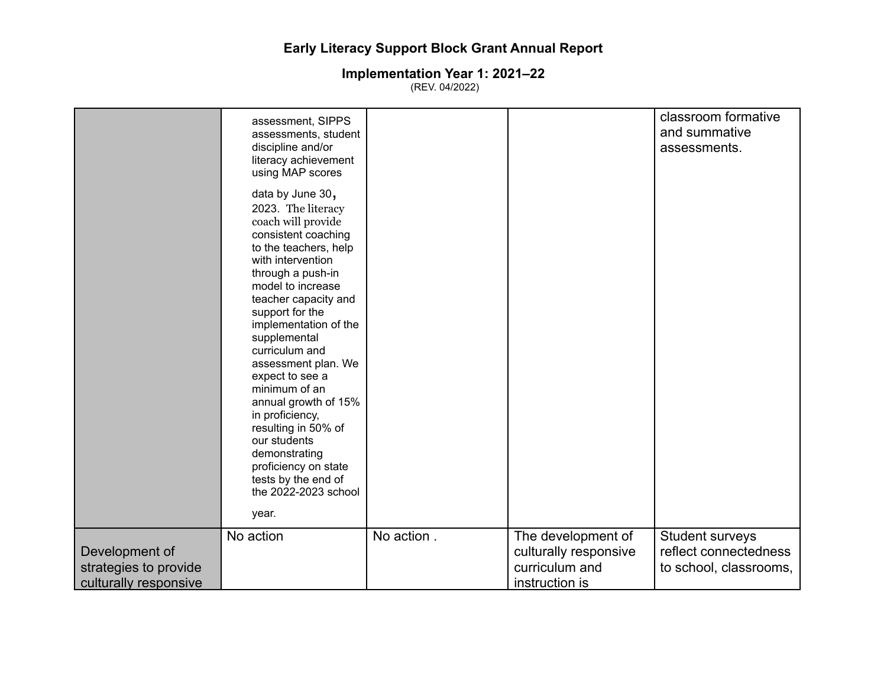|                                                                  | assessment, SIPPS<br>assessments, student<br>discipline and/or<br>literacy achievement<br>using MAP scores                                                                                                                                                                                                                                                                                                                                                                                                             |            |                                                                                 | classroom formative<br>and summative<br>assessments.               |
|------------------------------------------------------------------|------------------------------------------------------------------------------------------------------------------------------------------------------------------------------------------------------------------------------------------------------------------------------------------------------------------------------------------------------------------------------------------------------------------------------------------------------------------------------------------------------------------------|------------|---------------------------------------------------------------------------------|--------------------------------------------------------------------|
|                                                                  | data by June 30,<br>2023. The literacy<br>coach will provide<br>consistent coaching<br>to the teachers, help<br>with intervention<br>through a push-in<br>model to increase<br>teacher capacity and<br>support for the<br>implementation of the<br>supplemental<br>curriculum and<br>assessment plan. We<br>expect to see a<br>minimum of an<br>annual growth of 15%<br>in proficiency,<br>resulting in 50% of<br>our students<br>demonstrating<br>proficiency on state<br>tests by the end of<br>the 2022-2023 school |            |                                                                                 |                                                                    |
|                                                                  | year.                                                                                                                                                                                                                                                                                                                                                                                                                                                                                                                  |            |                                                                                 |                                                                    |
| Development of<br>strategies to provide<br>culturally responsive | No action                                                                                                                                                                                                                                                                                                                                                                                                                                                                                                              | No action. | The development of<br>culturally responsive<br>curriculum and<br>instruction is | Student surveys<br>reflect connectedness<br>to school, classrooms, |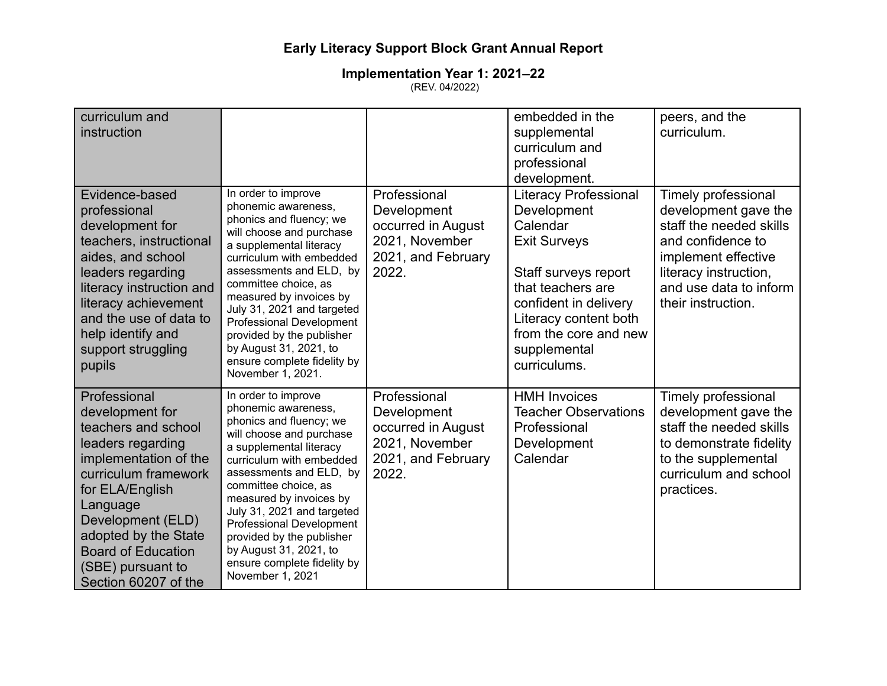| curriculum and<br>instruction                                                                                                                                                                                                                                                      |                                                                                                                                                                                                                                                                                                                                                                                                                    |                                                                                                    | embedded in the<br>supplemental<br>curriculum and<br>professional<br>development.                                                                                                                                                      | peers, and the<br>curriculum.                                                                                                                                                               |
|------------------------------------------------------------------------------------------------------------------------------------------------------------------------------------------------------------------------------------------------------------------------------------|--------------------------------------------------------------------------------------------------------------------------------------------------------------------------------------------------------------------------------------------------------------------------------------------------------------------------------------------------------------------------------------------------------------------|----------------------------------------------------------------------------------------------------|----------------------------------------------------------------------------------------------------------------------------------------------------------------------------------------------------------------------------------------|---------------------------------------------------------------------------------------------------------------------------------------------------------------------------------------------|
| Evidence-based<br>professional<br>development for<br>teachers, instructional<br>aides, and school<br>leaders regarding<br>literacy instruction and<br>literacy achievement<br>and the use of data to<br>help identify and<br>support struggling<br>pupils                          | In order to improve<br>phonemic awareness,<br>phonics and fluency; we<br>will choose and purchase<br>a supplemental literacy<br>curriculum with embedded<br>assessments and ELD, by<br>committee choice, as<br>measured by invoices by<br>July 31, 2021 and targeted<br><b>Professional Development</b><br>provided by the publisher<br>by August 31, 2021, to<br>ensure complete fidelity by<br>November 1, 2021. | Professional<br>Development<br>occurred in August<br>2021, November<br>2021, and February<br>2022. | <b>Literacy Professional</b><br>Development<br>Calendar<br><b>Exit Surveys</b><br>Staff surveys report<br>that teachers are<br>confident in delivery<br>Literacy content both<br>from the core and new<br>supplemental<br>curriculums. | Timely professional<br>development gave the<br>staff the needed skills<br>and confidence to<br>implement effective<br>literacy instruction,<br>and use data to inform<br>their instruction. |
| Professional<br>development for<br>teachers and school<br>leaders regarding<br>implementation of the<br>curriculum framework<br>for ELA/English<br>Language<br>Development (ELD)<br>adopted by the State<br><b>Board of Education</b><br>(SBE) pursuant to<br>Section 60207 of the | In order to improve<br>phonemic awareness,<br>phonics and fluency; we<br>will choose and purchase<br>a supplemental literacy<br>curriculum with embedded<br>assessments and ELD, by<br>committee choice, as<br>measured by invoices by<br>July 31, 2021 and targeted<br><b>Professional Development</b><br>provided by the publisher<br>by August 31, 2021, to<br>ensure complete fidelity by<br>November 1, 2021  | Professional<br>Development<br>occurred in August<br>2021, November<br>2021, and February<br>2022. | <b>HMH Invoices</b><br><b>Teacher Observations</b><br>Professional<br>Development<br>Calendar                                                                                                                                          | Timely professional<br>development gave the<br>staff the needed skills<br>to demonstrate fidelity<br>to the supplemental<br>curriculum and school<br>practices.                             |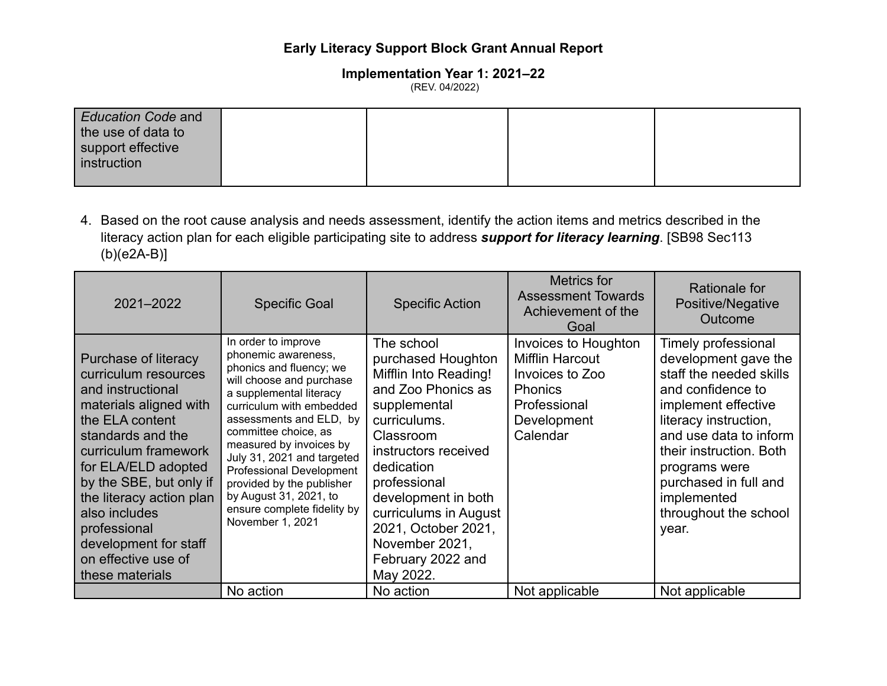#### **Implementation Year 1: 2021‒22** (REV. 04/2022)

| <b>Education Code and</b><br>the use of data to<br>support effective<br>instruction |  |  |
|-------------------------------------------------------------------------------------|--|--|
|                                                                                     |  |  |

4. Based on the root cause analysis and needs assessment, identify the action items and metrics described in the literacy action plan for each eligible participating site to address *support for literacy learning*. [SB98 Sec113 (b)(e2A-B)]

| 2021-2022                                                                                                                                                                                                                                                                                                                                     | <b>Specific Goal</b>                                                                                                                                                                                                                                                                                                                                                                                              | <b>Specific Action</b>                                                                                                                                                                                                                                                                                        | <b>Metrics for</b><br><b>Assessment Towards</b><br>Achievement of the<br>Goal                                                         | Rationale for<br>Positive/Negative<br>Outcome                                                                                                                                                                                                                                               |
|-----------------------------------------------------------------------------------------------------------------------------------------------------------------------------------------------------------------------------------------------------------------------------------------------------------------------------------------------|-------------------------------------------------------------------------------------------------------------------------------------------------------------------------------------------------------------------------------------------------------------------------------------------------------------------------------------------------------------------------------------------------------------------|---------------------------------------------------------------------------------------------------------------------------------------------------------------------------------------------------------------------------------------------------------------------------------------------------------------|---------------------------------------------------------------------------------------------------------------------------------------|---------------------------------------------------------------------------------------------------------------------------------------------------------------------------------------------------------------------------------------------------------------------------------------------|
| Purchase of literacy<br>curriculum resources<br>and instructional<br>materials aligned with<br>the ELA content<br>standards and the<br>curriculum framework<br>for ELA/ELD adopted<br>by the SBE, but only if<br>the literacy action plan<br>also includes<br>professional<br>development for staff<br>on effective use of<br>these materials | In order to improve<br>phonemic awareness,<br>phonics and fluency; we<br>will choose and purchase<br>a supplemental literacy<br>curriculum with embedded<br>assessments and ELD, by<br>committee choice, as<br>measured by invoices by<br>July 31, 2021 and targeted<br><b>Professional Development</b><br>provided by the publisher<br>by August 31, 2021, to<br>ensure complete fidelity by<br>November 1, 2021 | The school<br>purchased Houghton<br>Mifflin Into Reading!<br>and Zoo Phonics as<br>supplemental<br>curriculums.<br>Classroom<br>instructors received<br>dedication<br>professional<br>development in both<br>curriculums in August<br>2021, October 2021,<br>November 2021,<br>February 2022 and<br>May 2022. | <b>Invoices to Houghton</b><br><b>Mifflin Harcout</b><br>Invoices to Zoo<br><b>Phonics</b><br>Professional<br>Development<br>Calendar | Timely professional<br>development gave the<br>staff the needed skills<br>and confidence to<br>implement effective<br>literacy instruction,<br>and use data to inform<br>their instruction. Both<br>programs were<br>purchased in full and<br>implemented<br>throughout the school<br>year. |
|                                                                                                                                                                                                                                                                                                                                               | No action                                                                                                                                                                                                                                                                                                                                                                                                         | No action                                                                                                                                                                                                                                                                                                     | Not applicable                                                                                                                        | Not applicable                                                                                                                                                                                                                                                                              |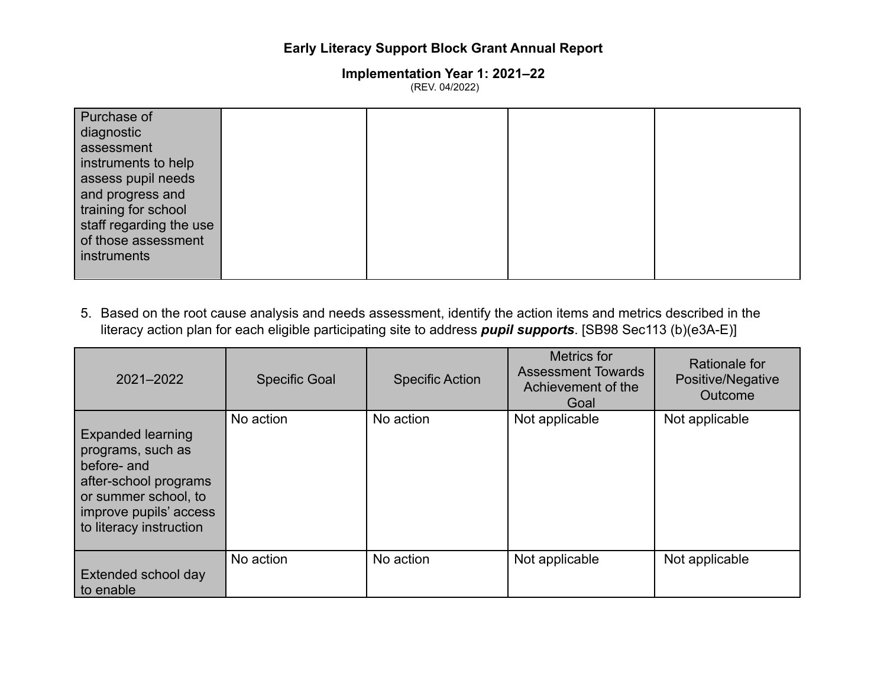**Implementation Year 1: 2021‒22** (REV. 04/2022)

| Purchase of             |  |  |
|-------------------------|--|--|
| diagnostic              |  |  |
| assessment              |  |  |
| instruments to help     |  |  |
| assess pupil needs      |  |  |
| and progress and        |  |  |
| training for school     |  |  |
| staff regarding the use |  |  |
| of those assessment     |  |  |
| instruments             |  |  |
|                         |  |  |

5. Based on the root cause analysis and needs assessment, identify the action items and metrics described in the literacy action plan for each eligible participating site to address *pupil supports*. [SB98 Sec113 (b)(e3A-E)]

| 2021-2022                                                                                                                                                          | <b>Specific Goal</b> | <b>Specific Action</b> | Metrics for<br><b>Assessment Towards</b><br>Achievement of the<br>Goal | Rationale for<br>Positive/Negative<br>Outcome |
|--------------------------------------------------------------------------------------------------------------------------------------------------------------------|----------------------|------------------------|------------------------------------------------------------------------|-----------------------------------------------|
| <b>Expanded learning</b><br>programs, such as<br>before- and<br>after-school programs<br>or summer school, to<br>improve pupils' access<br>to literacy instruction | No action            | No action              | Not applicable                                                         | Not applicable                                |
| Extended school day<br>to enable                                                                                                                                   | No action            | No action              | Not applicable                                                         | Not applicable                                |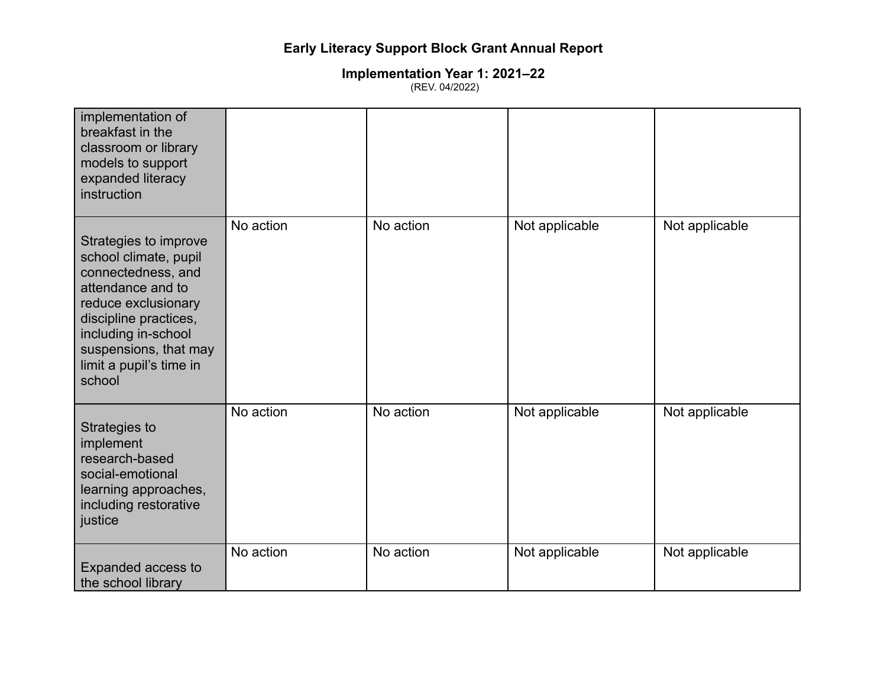| implementation of<br>breakfast in the<br>classroom or library<br>models to support<br>expanded literacy<br>instruction                                                                                                         |           |           |                |                |
|--------------------------------------------------------------------------------------------------------------------------------------------------------------------------------------------------------------------------------|-----------|-----------|----------------|----------------|
| Strategies to improve<br>school climate, pupil<br>connectedness, and<br>attendance and to<br>reduce exclusionary<br>discipline practices,<br>including in-school<br>suspensions, that may<br>limit a pupil's time in<br>school | No action | No action | Not applicable | Not applicable |
| Strategies to<br>implement<br>research-based<br>social-emotional<br>learning approaches,<br>including restorative<br>justice                                                                                                   | No action | No action | Not applicable | Not applicable |
| Expanded access to<br>the school library                                                                                                                                                                                       | No action | No action | Not applicable | Not applicable |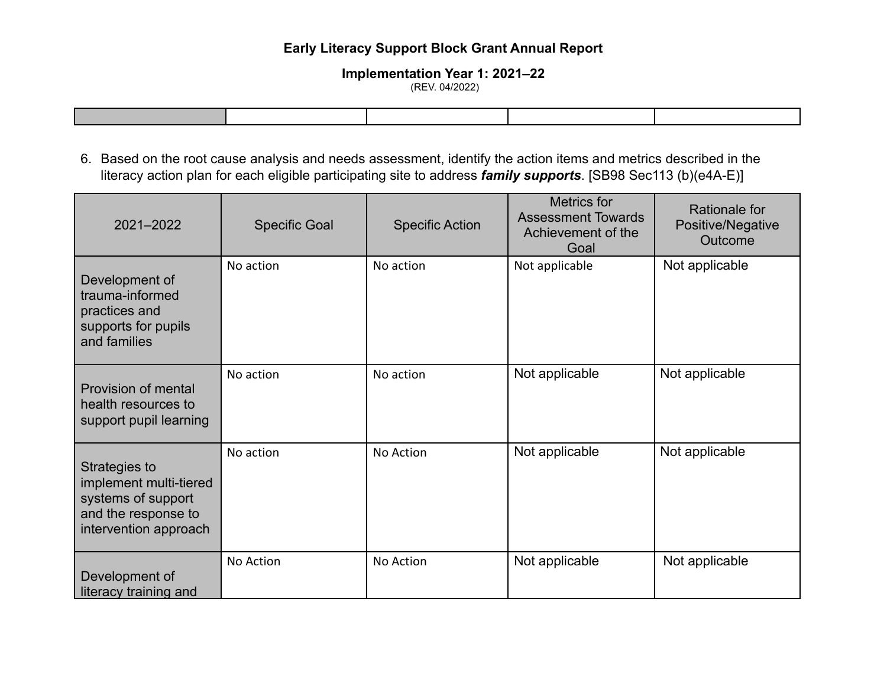### **Implementation Year 1: 2021‒22**

(REV. 04/2022)

6. Based on the root cause analysis and needs assessment, identify the action items and metrics described in the literacy action plan for each eligible participating site to address *family supports*. [SB98 Sec113 (b)(e4A-E)]

| 2021-2022                                                                                                     | <b>Specific Goal</b> | <b>Specific Action</b> | <b>Metrics for</b><br><b>Assessment Towards</b><br>Achievement of the<br>Goal | Rationale for<br>Positive/Negative<br>Outcome |
|---------------------------------------------------------------------------------------------------------------|----------------------|------------------------|-------------------------------------------------------------------------------|-----------------------------------------------|
| Development of<br>trauma-informed<br>practices and<br>supports for pupils<br>and families                     | No action            | No action              | Not applicable                                                                | Not applicable                                |
| Provision of mental<br>health resources to<br>support pupil learning                                          | No action            | No action              | Not applicable                                                                | Not applicable                                |
| Strategies to<br>implement multi-tiered<br>systems of support<br>and the response to<br>intervention approach | No action            | No Action              | Not applicable                                                                | Not applicable                                |
| Development of<br>literacy training and                                                                       | No Action            | No Action              | Not applicable                                                                | Not applicable                                |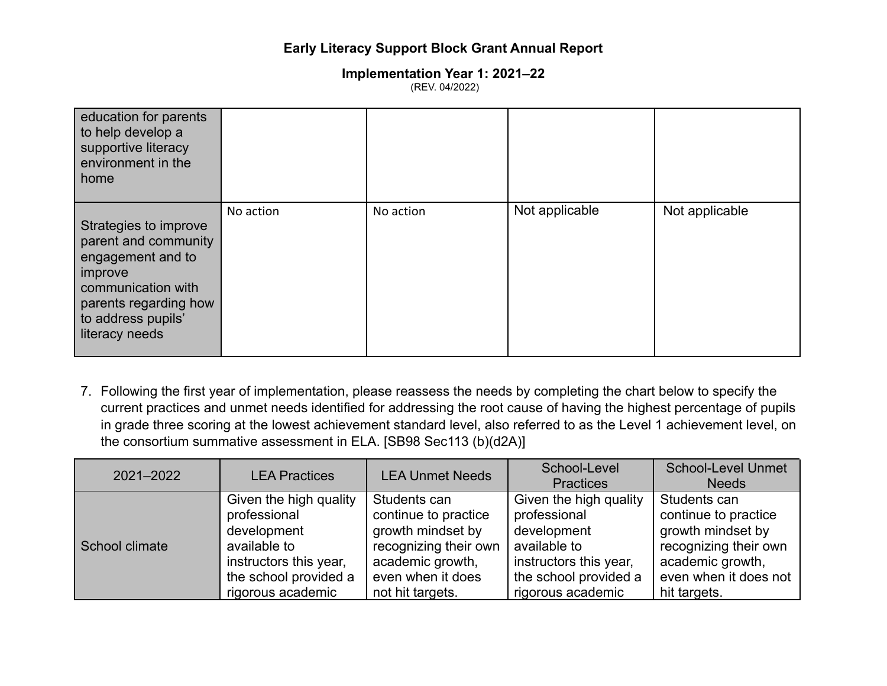#### **Implementation Year 1: 2021‒22** (REV. 04/2022)

| education for parents<br>to help develop a<br>supportive literacy<br>environment in the<br>home                                                                      |           |           |                |                |
|----------------------------------------------------------------------------------------------------------------------------------------------------------------------|-----------|-----------|----------------|----------------|
| Strategies to improve<br>parent and community<br>engagement and to<br>improve<br>communication with<br>parents regarding how<br>to address pupils'<br>literacy needs | No action | No action | Not applicable | Not applicable |

7. Following the first year of implementation, please reassess the needs by completing the chart below to specify the current practices and unmet needs identified for addressing the root cause of having the highest percentage of pupils in grade three scoring at the lowest achievement standard level, also referred to as the Level 1 achievement level, on the consortium summative assessment in ELA. [SB98 Sec113 (b)(d2A)]

| 2021-2022      | <b>LEA Practices</b>   | <b>LEA Unmet Needs</b> | School-Level<br><b>Practices</b> | <b>School-Level Unmet</b><br><b>Needs</b> |
|----------------|------------------------|------------------------|----------------------------------|-------------------------------------------|
| School climate | Given the high quality | Students can           | Given the high quality           | Students can                              |
|                | professional           | continue to practice   | professional                     | continue to practice                      |
|                | development            | growth mindset by      | development                      | growth mindset by                         |
|                | available to           | recognizing their own  | available to                     | recognizing their own                     |
|                | instructors this year, | academic growth,       | instructors this year,           | academic growth,                          |
|                | the school provided a  | even when it does      | the school provided a            | even when it does not                     |
|                | rigorous academic      | not hit targets.       | rigorous academic                | hit targets.                              |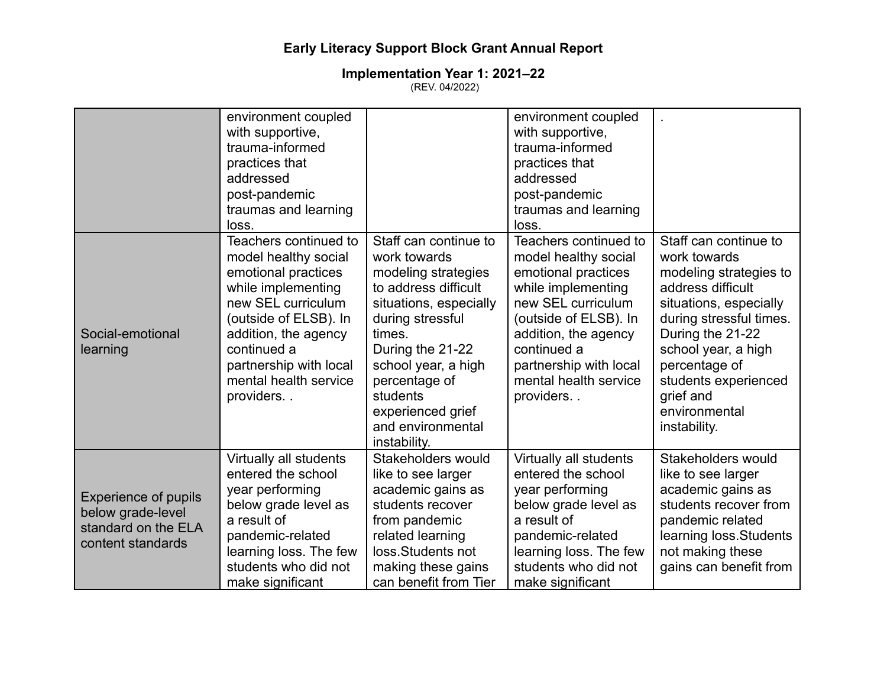|                                                                                              | environment coupled<br>with supportive,<br>trauma-informed<br>practices that<br>addressed<br>post-pandemic<br>traumas and learning<br>loss.                                                                                                                                                                                                                                                                                                                                                                                        |                                                                                                                                                                                                                                                  | environment coupled<br>with supportive,<br>trauma-informed<br>practices that<br>addressed<br>post-pandemic<br>traumas and learning<br>loss.                                                                                                                                 |                                                                                                                                                                                     |
|----------------------------------------------------------------------------------------------|------------------------------------------------------------------------------------------------------------------------------------------------------------------------------------------------------------------------------------------------------------------------------------------------------------------------------------------------------------------------------------------------------------------------------------------------------------------------------------------------------------------------------------|--------------------------------------------------------------------------------------------------------------------------------------------------------------------------------------------------------------------------------------------------|-----------------------------------------------------------------------------------------------------------------------------------------------------------------------------------------------------------------------------------------------------------------------------|-------------------------------------------------------------------------------------------------------------------------------------------------------------------------------------|
| Social-emotional<br>learning                                                                 | Teachers continued to<br>Staff can continue to<br>work towards<br>model healthy social<br>emotional practices<br>modeling strategies<br>while implementing<br>to address difficult<br>new SEL curriculum<br>situations, especially<br>(outside of ELSB). In<br>during stressful<br>addition, the agency<br>times.<br>continued a<br>During the 21-22<br>partnership with local<br>school year, a high<br>mental health service<br>percentage of<br>students<br>providers<br>experienced grief<br>and environmental<br>instability. | Teachers continued to<br>model healthy social<br>emotional practices<br>while implementing<br>new SEL curriculum<br>(outside of ELSB). In<br>addition, the agency<br>continued a<br>partnership with local<br>mental health service<br>providers | Staff can continue to<br>work towards<br>modeling strategies to<br>address difficult<br>situations, especially<br>during stressful times.<br>During the 21-22<br>school year, a high<br>percentage of<br>students experienced<br>grief and<br>environmental<br>instability. |                                                                                                                                                                                     |
| <b>Experience of pupils</b><br>below grade-level<br>standard on the ELA<br>content standards | Virtually all students<br>entered the school<br>year performing<br>below grade level as<br>a result of<br>pandemic-related<br>learning loss. The few<br>students who did not<br>make significant                                                                                                                                                                                                                                                                                                                                   | Stakeholders would<br>like to see larger<br>academic gains as<br>students recover<br>from pandemic<br>related learning<br>loss.Students not<br>making these gains<br>can benefit from Tier                                                       | Virtually all students<br>entered the school<br>year performing<br>below grade level as<br>a result of<br>pandemic-related<br>learning loss. The few<br>students who did not<br>make significant                                                                            | Stakeholders would<br>like to see larger<br>academic gains as<br>students recover from<br>pandemic related<br>learning loss. Students<br>not making these<br>gains can benefit from |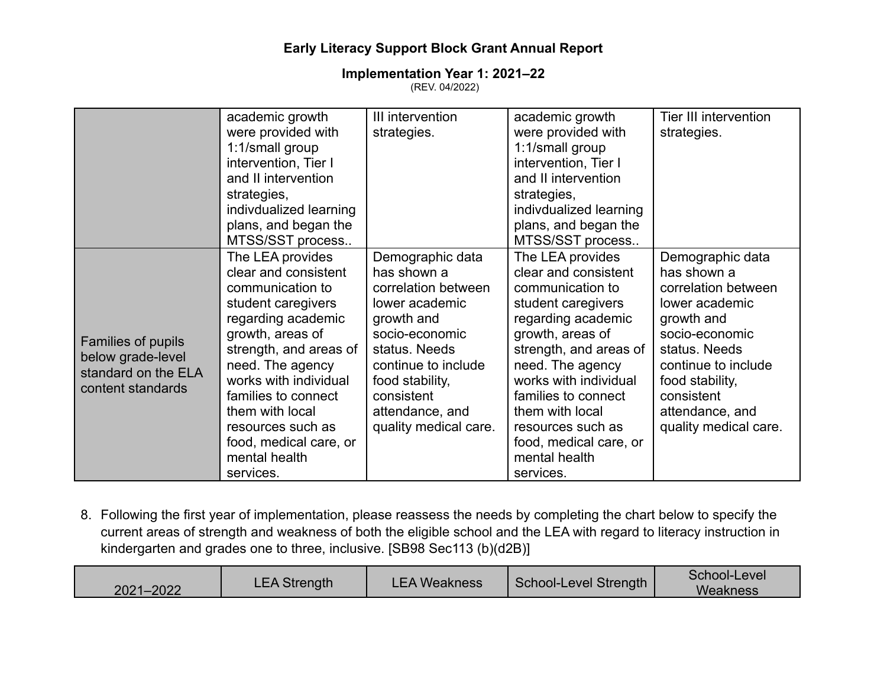#### **Implementation Year 1: 2021‒22** (REV. 04/2022)

|                                                                                     | academic growth<br>were provided with<br>1:1/small group<br>intervention, Tier I<br>and II intervention<br>strategies,<br>indivdualized learning<br>plans, and began the<br>MTSS/SST process                                                                                                                               | III intervention<br>strategies.                                                                                                                                                                                               | academic growth<br>were provided with<br>1:1/small group<br>intervention, Tier I<br>and II intervention<br>strategies,<br>indivdualized learning<br>plans, and began the<br>MTSS/SST process                                                                                                                               | <b>Tier III intervention</b><br>strategies.                                                                                                                                                                                   |
|-------------------------------------------------------------------------------------|----------------------------------------------------------------------------------------------------------------------------------------------------------------------------------------------------------------------------------------------------------------------------------------------------------------------------|-------------------------------------------------------------------------------------------------------------------------------------------------------------------------------------------------------------------------------|----------------------------------------------------------------------------------------------------------------------------------------------------------------------------------------------------------------------------------------------------------------------------------------------------------------------------|-------------------------------------------------------------------------------------------------------------------------------------------------------------------------------------------------------------------------------|
| Families of pupils<br>below grade-level<br>standard on the ELA<br>content standards | The LEA provides<br>clear and consistent<br>communication to<br>student caregivers<br>regarding academic<br>growth, areas of<br>strength, and areas of<br>need. The agency<br>works with individual<br>families to connect<br>them with local<br>resources such as<br>food, medical care, or<br>mental health<br>services. | Demographic data<br>has shown a<br>correlation between<br>lower academic<br>growth and<br>socio-economic<br>status. Needs<br>continue to include<br>food stability,<br>consistent<br>attendance, and<br>quality medical care. | The LEA provides<br>clear and consistent<br>communication to<br>student caregivers<br>regarding academic<br>growth, areas of<br>strength, and areas of<br>need. The agency<br>works with individual<br>families to connect<br>them with local<br>resources such as<br>food, medical care, or<br>mental health<br>services. | Demographic data<br>has shown a<br>correlation between<br>lower academic<br>growth and<br>socio-economic<br>status. Needs<br>continue to include<br>food stability,<br>consistent<br>attendance, and<br>quality medical care. |

8. Following the first year of implementation, please reassess the needs by completing the chart below to specify the current areas of strength and weakness of both the eligible school and the LEA with regard to literacy instruction in kindergarten and grades one to three, inclusive. [SB98 Sec113 (b)(d2B)]

|  | 2021-2022 | <b>LEA Strength</b> | <b>LEA Weakness</b> | School-Level Strength | School-Level<br>Weakness |
|--|-----------|---------------------|---------------------|-----------------------|--------------------------|
|--|-----------|---------------------|---------------------|-----------------------|--------------------------|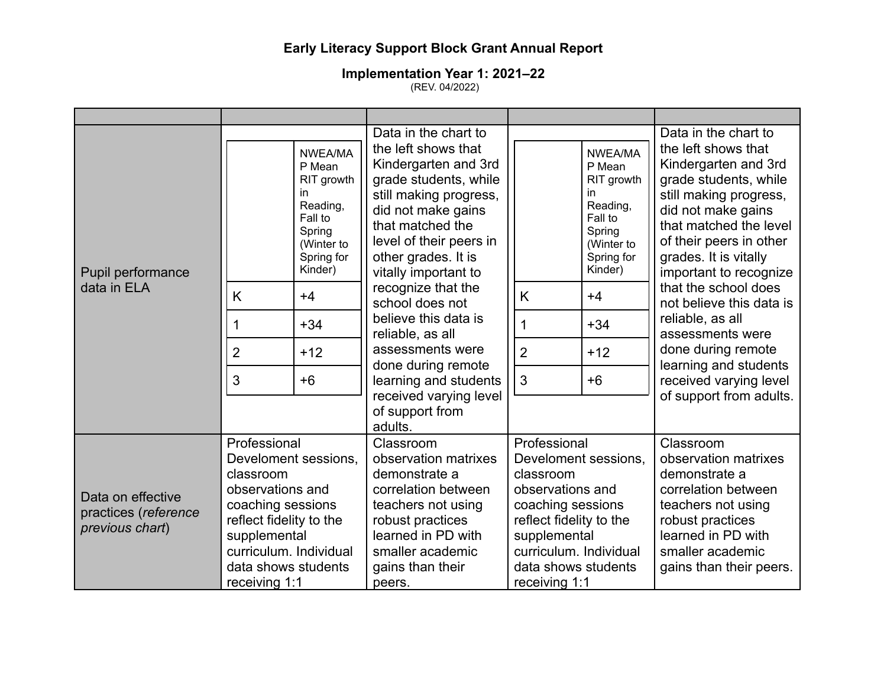|                                                              |                                                                                                                                                                 |                                                                                                                | Data in the chart to                                                                                                                                                                                               |                                                                                                                                                                 |                                                                                                                | Data in the chart to                                                                                                                                                                                                         |
|--------------------------------------------------------------|-----------------------------------------------------------------------------------------------------------------------------------------------------------------|----------------------------------------------------------------------------------------------------------------|--------------------------------------------------------------------------------------------------------------------------------------------------------------------------------------------------------------------|-----------------------------------------------------------------------------------------------------------------------------------------------------------------|----------------------------------------------------------------------------------------------------------------|------------------------------------------------------------------------------------------------------------------------------------------------------------------------------------------------------------------------------|
| Pupil performance                                            |                                                                                                                                                                 | NWEA/MA<br>P Mean<br>RIT growth<br>in.<br>Reading,<br>Fall to<br>Spring<br>(Winter to<br>Spring for<br>Kinder) | the left shows that<br>Kindergarten and 3rd<br>grade students, while<br>still making progress,<br>did not make gains<br>that matched the<br>level of their peers in<br>other grades. It is<br>vitally important to |                                                                                                                                                                 | NWEA/MA<br>P Mean<br>RIT growth<br>in.<br>Reading,<br>Fall to<br>Spring<br>(Winter to<br>Spring for<br>Kinder) | the left shows that<br>Kindergarten and 3rd<br>grade students, while<br>still making progress,<br>did not make gains<br>that matched the level<br>of their peers in other<br>grades. It is vitally<br>important to recognize |
| data in ELA                                                  | K                                                                                                                                                               | $+4$                                                                                                           | recognize that the<br>school does not                                                                                                                                                                              | K                                                                                                                                                               | $+4$                                                                                                           | that the school does<br>not believe this data is                                                                                                                                                                             |
|                                                              | 1                                                                                                                                                               | $+34$                                                                                                          | believe this data is<br>reliable, as all                                                                                                                                                                           | 1                                                                                                                                                               | $+34$                                                                                                          | reliable, as all<br>assessments were                                                                                                                                                                                         |
|                                                              | $\overline{2}$                                                                                                                                                  | $+12$                                                                                                          | assessments were<br>done during remote                                                                                                                                                                             | $\overline{2}$                                                                                                                                                  | $+12$                                                                                                          | done during remote<br>learning and students                                                                                                                                                                                  |
|                                                              | 3                                                                                                                                                               | $+6$                                                                                                           | learning and students                                                                                                                                                                                              | 3                                                                                                                                                               | $+6$                                                                                                           | received varying level                                                                                                                                                                                                       |
|                                                              |                                                                                                                                                                 |                                                                                                                | received varying level<br>of support from<br>adults.                                                                                                                                                               |                                                                                                                                                                 |                                                                                                                | of support from adults.                                                                                                                                                                                                      |
| Data on effective<br>practices (reference<br>previous chart) | Professional<br>Develoment sessions,<br>classroom<br>observations and<br>coaching sessions<br>reflect fidelity to the<br>supplemental<br>curriculum. Individual |                                                                                                                | Classroom<br>observation matrixes<br>demonstrate a<br>correlation between<br>teachers not using<br>robust practices<br>learned in PD with<br>smaller academic                                                      | Professional<br>Develoment sessions.<br>classroom<br>observations and<br>coaching sessions<br>reflect fidelity to the<br>supplemental<br>curriculum. Individual |                                                                                                                | Classroom<br>observation matrixes<br>demonstrate a<br>correlation between<br>teachers not using<br>robust practices<br>learned in PD with<br>smaller academic                                                                |
|                                                              | data shows students<br>receiving 1:1                                                                                                                            |                                                                                                                | gains than their<br>peers.                                                                                                                                                                                         | data shows students<br>receiving 1:1                                                                                                                            |                                                                                                                | gains than their peers.                                                                                                                                                                                                      |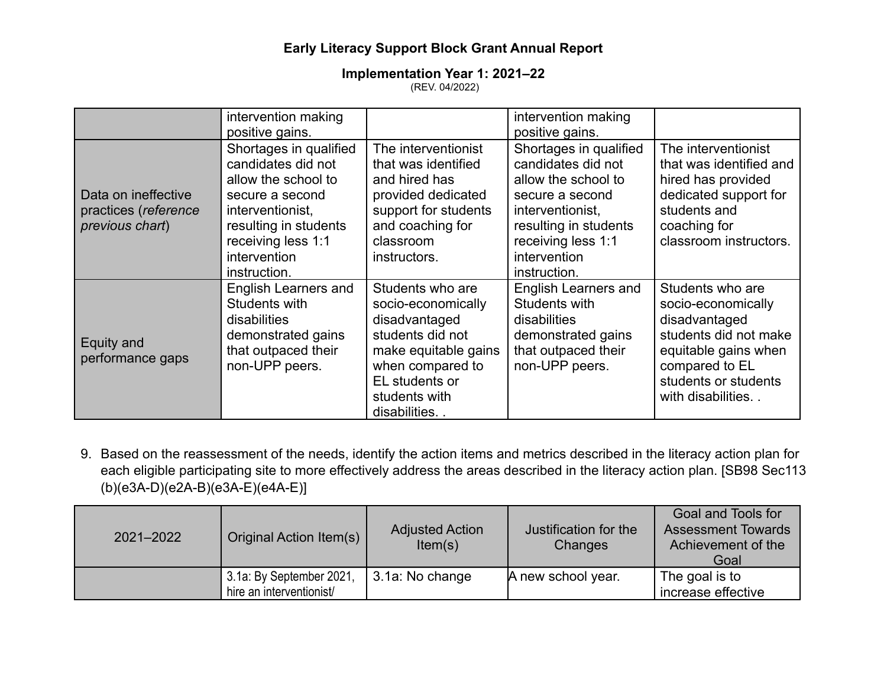#### **Implementation Year 1: 2021‒22** (REV. 04/2022)

|                                                                | intervention making<br>positive gains.                                                                                                                                                    |                                                                                                                                                                             | intervention making<br>positive gains.                                                                                                                                                    |                                                                                                                                                                         |
|----------------------------------------------------------------|-------------------------------------------------------------------------------------------------------------------------------------------------------------------------------------------|-----------------------------------------------------------------------------------------------------------------------------------------------------------------------------|-------------------------------------------------------------------------------------------------------------------------------------------------------------------------------------------|-------------------------------------------------------------------------------------------------------------------------------------------------------------------------|
| Data on ineffective<br>practices (reference<br>previous chart) | Shortages in qualified<br>candidates did not<br>allow the school to<br>secure a second<br>interventionist,<br>resulting in students<br>receiving less 1:1<br>intervention<br>instruction. | The interventionist<br>that was identified<br>and hired has<br>provided dedicated<br>support for students<br>and coaching for<br>classroom<br>instructors.                  | Shortages in qualified<br>candidates did not<br>allow the school to<br>secure a second<br>interventionist,<br>resulting in students<br>receiving less 1:1<br>intervention<br>instruction. | The interventionist<br>that was identified and<br>hired has provided<br>dedicated support for<br>students and<br>coaching for<br>classroom instructors.                 |
| Equity and<br>performance gaps                                 | <b>English Learners and</b><br>Students with<br>disabilities<br>demonstrated gains<br>that outpaced their<br>non-UPP peers.                                                               | Students who are<br>socio-economically<br>disadvantaged<br>students did not<br>make equitable gains<br>when compared to<br>EL students or<br>students with<br>disabilities. | <b>English Learners and</b><br>Students with<br>disabilities<br>demonstrated gains<br>that outpaced their<br>non-UPP peers.                                                               | Students who are<br>socio-economically<br>disadvantaged<br>students did not make<br>equitable gains when<br>compared to EL<br>students or students<br>with disabilities |

9. Based on the reassessment of the needs, identify the action items and metrics described in the literacy action plan for each eligible participating site to more effectively address the areas described in the literacy action plan. [SB98 Sec113 (b)(e3A-D)(e2A-B)(e3A-E)(e4A-E)]

| 2021-2022 | Original Action Item(s)                              | <b>Adjusted Action</b><br>Item(s) | Justification for the<br>Changes | Goal and Tools for<br><b>Assessment Towards</b><br>Achievement of the<br>Goal |
|-----------|------------------------------------------------------|-----------------------------------|----------------------------------|-------------------------------------------------------------------------------|
|           | 3.1a: By September 2021,<br>hire an interventionist/ | 3.1a: No change                   | A new school year.               | The goal is to<br>increase effective                                          |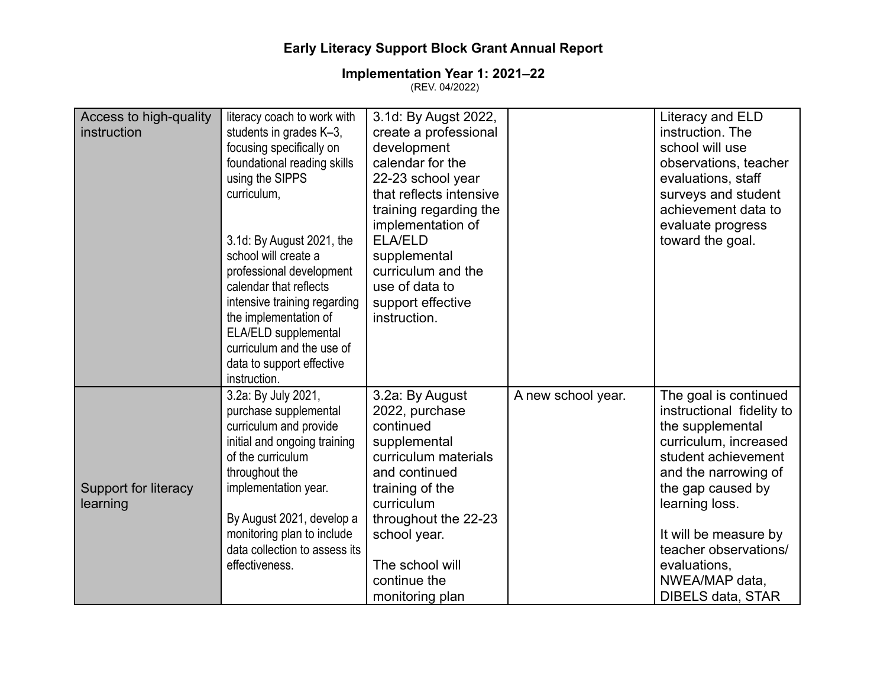### **Implementation Year 1: 2021‒22**

(REV. 04/2022)

| Access to high-quality | literacy coach to work with   | 3.1d: By Augst 2022,    |                    | Literacy and ELD          |
|------------------------|-------------------------------|-------------------------|--------------------|---------------------------|
| instruction            | students in grades K-3,       | create a professional   |                    | instruction. The          |
|                        | focusing specifically on      | development             |                    | school will use           |
|                        | foundational reading skills   | calendar for the        |                    | observations, teacher     |
|                        | using the SIPPS               | 22-23 school year       |                    | evaluations, staff        |
|                        | curriculum,                   | that reflects intensive |                    | surveys and student       |
|                        |                               | training regarding the  |                    | achievement data to       |
|                        |                               | implementation of       |                    | evaluate progress         |
|                        | 3.1d: By August 2021, the     | <b>ELA/ELD</b>          |                    | toward the goal.          |
|                        | school will create a          | supplemental            |                    |                           |
|                        | professional development      | curriculum and the      |                    |                           |
|                        | calendar that reflects        | use of data to          |                    |                           |
|                        | intensive training regarding  | support effective       |                    |                           |
|                        | the implementation of         | instruction.            |                    |                           |
|                        | ELA/ELD supplemental          |                         |                    |                           |
|                        | curriculum and the use of     |                         |                    |                           |
|                        | data to support effective     |                         |                    |                           |
|                        | instruction.                  |                         |                    |                           |
|                        | 3.2a: By July 2021,           | 3.2a: By August         | A new school year. | The goal is continued     |
|                        | purchase supplemental         | 2022, purchase          |                    | instructional fidelity to |
|                        | curriculum and provide        | continued               |                    | the supplemental          |
|                        | initial and ongoing training  | supplemental            |                    | curriculum, increased     |
|                        | of the curriculum             | curriculum materials    |                    | student achievement       |
|                        | throughout the                | and continued           |                    | and the narrowing of      |
| Support for literacy   | implementation year.          | training of the         |                    | the gap caused by         |
| learning               |                               | curriculum              |                    | learning loss.            |
|                        | By August 2021, develop a     | throughout the 22-23    |                    |                           |
|                        | monitoring plan to include    | school year.            |                    | It will be measure by     |
|                        | data collection to assess its |                         |                    | teacher observations/     |
|                        | effectiveness.                | The school will         |                    | evaluations,              |
|                        |                               | continue the            |                    | NWEA/MAP data,            |
|                        |                               | monitoring plan         |                    | <b>DIBELS data, STAR</b>  |